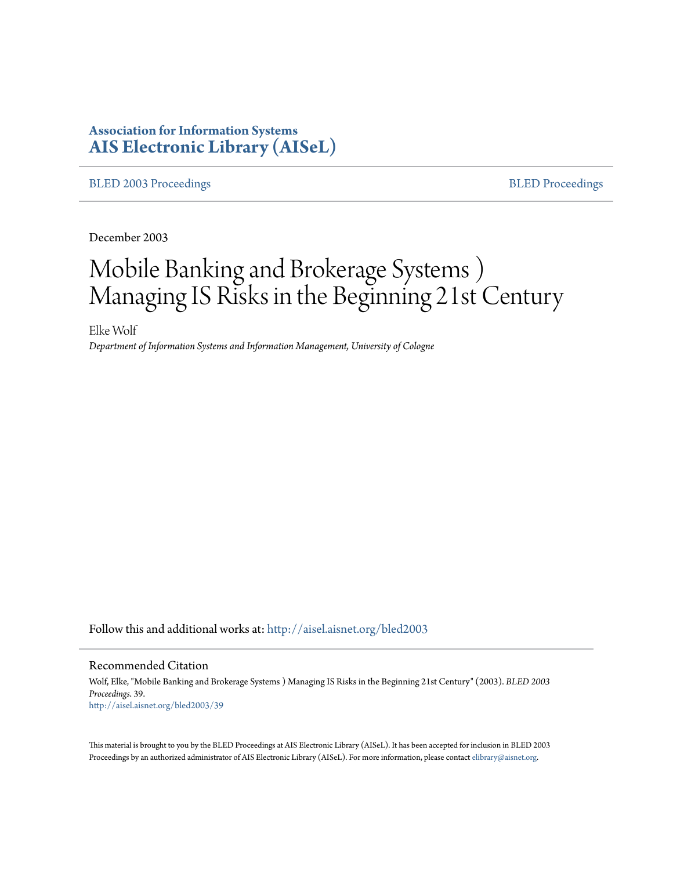# **Association for Information Systems [AIS Electronic Library \(AISeL\)](http://aisel.aisnet.org?utm_source=aisel.aisnet.org%2Fbled2003%2F39&utm_medium=PDF&utm_campaign=PDFCoverPages)**

[BLED 2003 Proceedings](http://aisel.aisnet.org/bled2003?utm_source=aisel.aisnet.org%2Fbled2003%2F39&utm_medium=PDF&utm_campaign=PDFCoverPages) and the state of the state of the [BLED Proceedings](http://aisel.aisnet.org/bled?utm_source=aisel.aisnet.org%2Fbled2003%2F39&utm_medium=PDF&utm_campaign=PDFCoverPages) and the BLED Proceedings and the BLED Proceedings and the BLED Proceedings and the BLED Proceedings and the BLED Proceedings and the BLED Proceedings

December 2003

# Mobile Banking and Brokerage Systems ) Managing IS Risks in the Beginning 21st Century

Elke Wolf *Department of Information Systems and Information Management, University of Cologne*

Follow this and additional works at: [http://aisel.aisnet.org/bled2003](http://aisel.aisnet.org/bled2003?utm_source=aisel.aisnet.org%2Fbled2003%2F39&utm_medium=PDF&utm_campaign=PDFCoverPages)

#### Recommended Citation

Wolf, Elke, "Mobile Banking and Brokerage Systems ) Managing IS Risks in the Beginning 21st Century" (2003). *BLED 2003 Proceedings*. 39. [http://aisel.aisnet.org/bled2003/39](http://aisel.aisnet.org/bled2003/39?utm_source=aisel.aisnet.org%2Fbled2003%2F39&utm_medium=PDF&utm_campaign=PDFCoverPages)

This material is brought to you by the BLED Proceedings at AIS Electronic Library (AISeL). It has been accepted for inclusion in BLED 2003 Proceedings by an authorized administrator of AIS Electronic Library (AISeL). For more information, please contact [elibrary@aisnet.org](mailto:elibrary@aisnet.org%3E).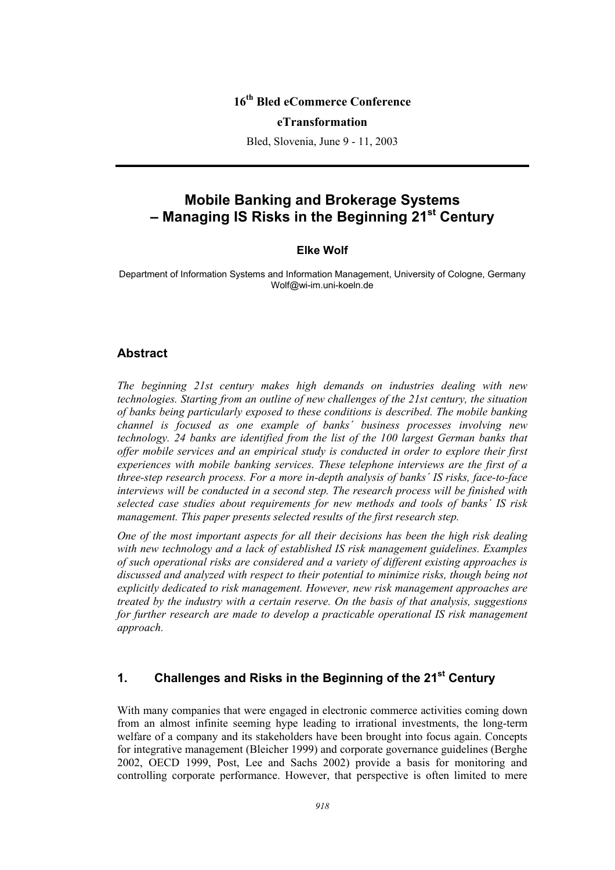## **16th Bled eCommerce Conference**

#### **eTransformation**

Bled, Slovenia, June 9 - 11, 2003

## **Mobile Banking and Brokerage Systems – Managing IS Risks in the Beginning 21st Century**

#### **Elke Wolf**

Department of Information Systems and Information Management, University of Cologne, Germany Wolf@wi-im.uni-koeln.de

#### **Abstract**

*The beginning 21st century makes high demands on industries dealing with new technologies. Starting from an outline of new challenges of the 21st century, the situation of banks being particularly exposed to these conditions is described. The mobile banking channel is focused as one example of banks´ business processes involving new technology. 24 banks are identified from the list of the 100 largest German banks that offer mobile services and an empirical study is conducted in order to explore their first experiences with mobile banking services. These telephone interviews are the first of a three-step research process. For a more in-depth analysis of banks´ IS risks, face-to-face interviews will be conducted in a second step. The research process will be finished with selected case studies about requirements for new methods and tools of banks´ IS risk management. This paper presents selected results of the first research step.* 

*One of the most important aspects for all their decisions has been the high risk dealing with new technology and a lack of established IS risk management guidelines. Examples of such operational risks are considered and a variety of different existing approaches is discussed and analyzed with respect to their potential to minimize risks, though being not explicitly dedicated to risk management. However, new risk management approaches are treated by the industry with a certain reserve. On the basis of that analysis, suggestions for further research are made to develop a practicable operational IS risk management approach.* 

## **1. Challenges and Risks in the Beginning of the 21st Century**

With many companies that were engaged in electronic commerce activities coming down from an almost infinite seeming hype leading to irrational investments, the long-term welfare of a company and its stakeholders have been brought into focus again. Concepts for integrative management (Bleicher 1999) and corporate governance guidelines (Berghe 2002, OECD 1999, Post, Lee and Sachs 2002) provide a basis for monitoring and controlling corporate performance. However, that perspective is often limited to mere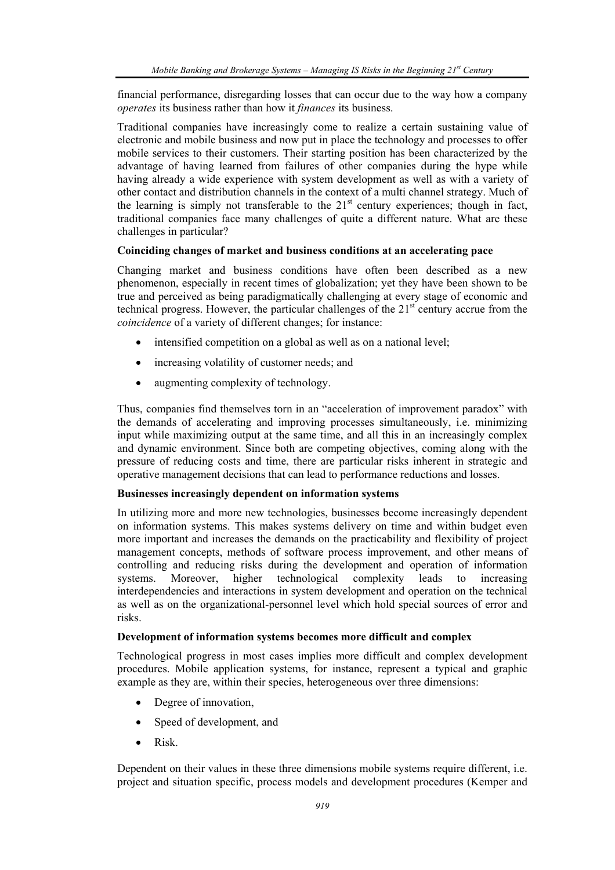financial performance, disregarding losses that can occur due to the way how a company *operates* its business rather than how it *finances* its business.

Traditional companies have increasingly come to realize a certain sustaining value of electronic and mobile business and now put in place the technology and processes to offer mobile services to their customers. Their starting position has been characterized by the advantage of having learned from failures of other companies during the hype while having already a wide experience with system development as well as with a variety of other contact and distribution channels in the context of a multi channel strategy. Much of the learning is simply not transferable to the  $21<sup>st</sup>$  century experiences; though in fact, traditional companies face many challenges of quite a different nature. What are these challenges in particular?

#### **Coinciding changes of market and business conditions at an accelerating pace**

Changing market and business conditions have often been described as a new phenomenon, especially in recent times of globalization; yet they have been shown to be true and perceived as being paradigmatically challenging at every stage of economic and technical progress. However, the particular challenges of the 21<sup>st</sup> century accrue from the *coincidence* of a variety of different changes; for instance:

- intensified competition on a global as well as on a national level;
- increasing volatility of customer needs; and
- augmenting complexity of technology.

Thus, companies find themselves torn in an "acceleration of improvement paradox" with the demands of accelerating and improving processes simultaneously, i.e. minimizing input while maximizing output at the same time, and all this in an increasingly complex and dynamic environment. Since both are competing objectives, coming along with the pressure of reducing costs and time, there are particular risks inherent in strategic and operative management decisions that can lead to performance reductions and losses.

#### **Businesses increasingly dependent on information systems**

In utilizing more and more new technologies, businesses become increasingly dependent on information systems. This makes systems delivery on time and within budget even more important and increases the demands on the practicability and flexibility of project management concepts, methods of software process improvement, and other means of controlling and reducing risks during the development and operation of information systems. Moreover, higher technological complexity leads to increasing interdependencies and interactions in system development and operation on the technical as well as on the organizational-personnel level which hold special sources of error and risks.

#### **Development of information systems becomes more difficult and complex**

Technological progress in most cases implies more difficult and complex development procedures. Mobile application systems, for instance, represent a typical and graphic example as they are, within their species, heterogeneous over three dimensions:

- Degree of innovation,
- Speed of development, and
- Risk.

Dependent on their values in these three dimensions mobile systems require different, i.e. project and situation specific, process models and development procedures (Kemper and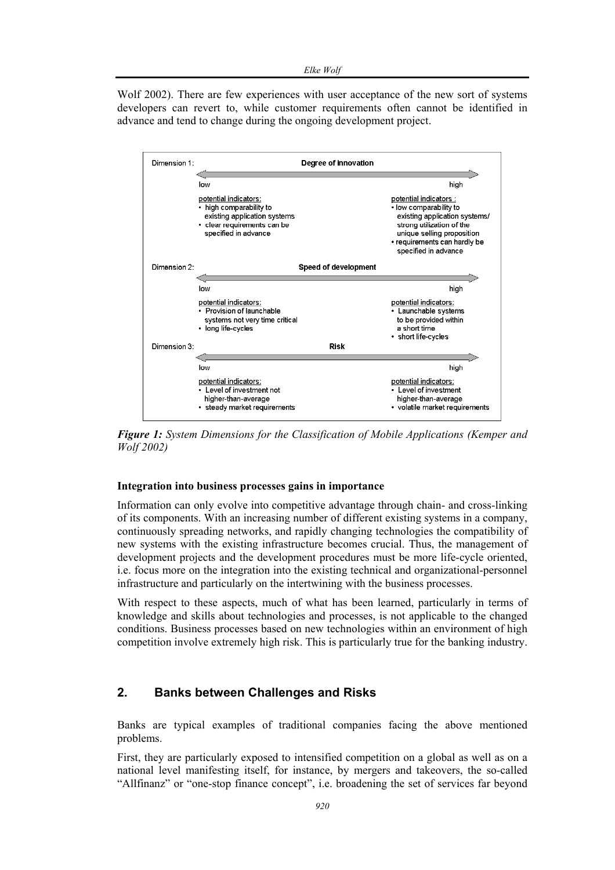Wolf 2002). There are few experiences with user acceptance of the new sort of systems developers can revert to, while customer requirements often cannot be identified in advance and tend to change during the ongoing development project.



*Figure 1: System Dimensions for the Classification of Mobile Applications (Kemper and Wolf 2002)* 

#### **Integration into business processes gains in importance**

Information can only evolve into competitive advantage through chain- and cross-linking of its components. With an increasing number of different existing systems in a company, continuously spreading networks, and rapidly changing technologies the compatibility of new systems with the existing infrastructure becomes crucial. Thus, the management of development projects and the development procedures must be more life-cycle oriented, i.e. focus more on the integration into the existing technical and organizational-personnel infrastructure and particularly on the intertwining with the business processes.

With respect to these aspects, much of what has been learned, particularly in terms of knowledge and skills about technologies and processes, is not applicable to the changed conditions. Business processes based on new technologies within an environment of high competition involve extremely high risk. This is particularly true for the banking industry.

## **2. Banks between Challenges and Risks**

Banks are typical examples of traditional companies facing the above mentioned problems.

First, they are particularly exposed to intensified competition on a global as well as on a national level manifesting itself, for instance, by mergers and takeovers, the so-called "Allfinanz" or "one-stop finance concept", i.e. broadening the set of services far beyond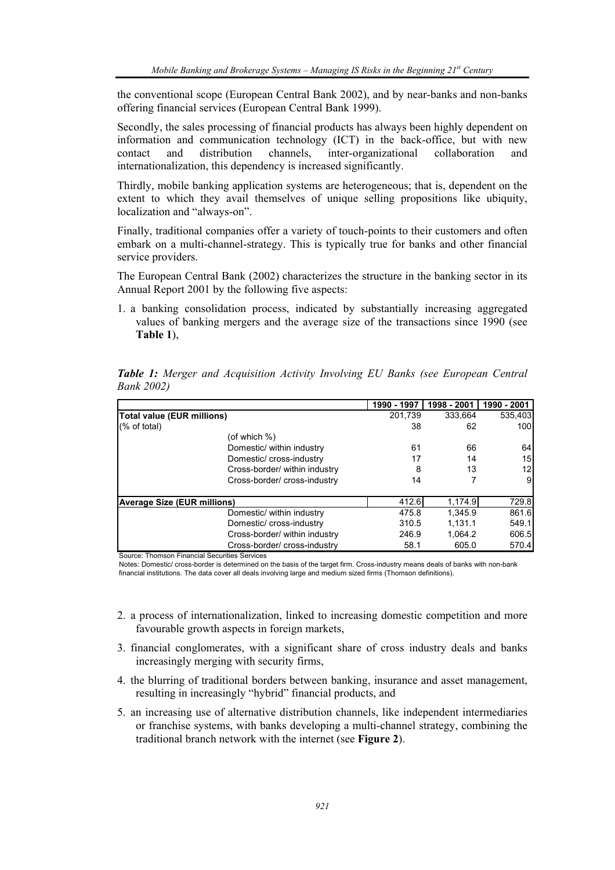the conventional scope (European Central Bank 2002), and by near-banks and non-banks offering financial services (European Central Bank 1999).

Secondly, the sales processing of financial products has always been highly dependent on information and communication technology (ICT) in the back-office, but with new contact and distribution channels, inter-organizational collaboration and internationalization, this dependency is increased significantly.

Thirdly, mobile banking application systems are heterogeneous; that is, dependent on the extent to which they avail themselves of unique selling propositions like ubiquity, localization and "always-on".

Finally, traditional companies offer a variety of touch-points to their customers and often embark on a multi-channel-strategy. This is typically true for banks and other financial service providers.

The European Central Bank (2002) characterizes the structure in the banking sector in its Annual Report 2001 by the following five aspects:

1. a banking consolidation process, indicated by substantially increasing aggregated values of banking mergers and the average size of the transactions since 1990 (see **Table 1**),

|                                    |                               | 1990 - 1997 | 1998 - 2001 | 1990 - 2001 |
|------------------------------------|-------------------------------|-------------|-------------|-------------|
| <b>Total value (EUR millions)</b>  |                               | 201,739     | 333.664     | 535.403     |
| (% of total)                       |                               | 38          | 62          | 100         |
|                                    | (of which %)                  |             |             |             |
|                                    | Domestic/ within industry     | 61          | 66          | 64          |
|                                    | Domestic/ cross-industry      | 17          | 14          | 15          |
|                                    | Cross-border/ within industry | 8           | 13          | 12          |
|                                    | Cross-border/cross-industry   | 14          |             | 9           |
| <b>Average Size (EUR millions)</b> |                               | 412.6       | 1.174.9     | 729.8       |
|                                    | Domestic/ within industry     | 475.8       | 1,345.9     | 861.6       |
|                                    | Domestic/ cross-industry      | 310.5       | 1.131.1     | 549.1       |
|                                    | Cross-border/ within industry | 246.9       | 1.064.2     | 606.5       |
|                                    | Cross-border/cross-industry   | 58.1        | 605.0       | 570.4       |

*Table 1: Merger and Acquisition Activity Involving EU Banks (see European Central Bank 2002)* 

Source: Thomson Financial Securities Services

Notes: Domestic/ cross-border is determined on the basis of the target firm. Cross-industry means deals of banks with non-bank financial institutions. The data cover all deals involving large and medium sized firms (Thomson definitions).

- 2. a process of internationalization, linked to increasing domestic competition and more favourable growth aspects in foreign markets,
- 3. financial conglomerates, with a significant share of cross industry deals and banks increasingly merging with security firms,
- 4. the blurring of traditional borders between banking, insurance and asset management, resulting in increasingly "hybrid" financial products, and
- 5. an increasing use of alternative distribution channels, like independent intermediaries or franchise systems, with banks developing a multi-channel strategy, combining the traditional branch network with the internet (see **Figure 2**).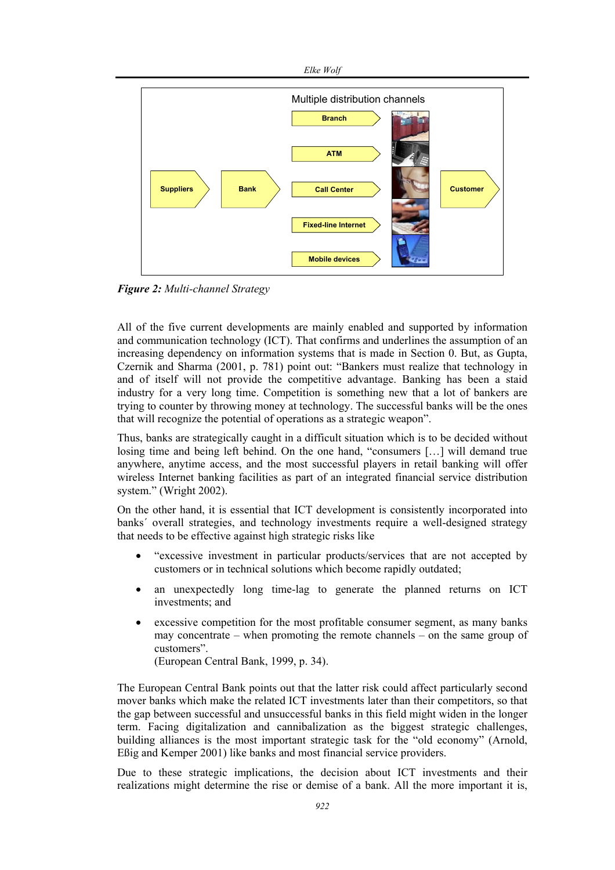



*Figure 2: Multi-channel Strategy* 

All of the five current developments are mainly enabled and supported by information and communication technology (ICT). That confirms and underlines the assumption of an increasing dependency on information systems that is made in Section 0. But, as Gupta, Czernik and Sharma (2001, p. 781) point out: "Bankers must realize that technology in and of itself will not provide the competitive advantage. Banking has been a staid industry for a very long time. Competition is something new that a lot of bankers are trying to counter by throwing money at technology. The successful banks will be the ones that will recognize the potential of operations as a strategic weapon".

Thus, banks are strategically caught in a difficult situation which is to be decided without losing time and being left behind. On the one hand, "consumers […] will demand true anywhere, anytime access, and the most successful players in retail banking will offer wireless Internet banking facilities as part of an integrated financial service distribution system." (Wright 2002).

On the other hand, it is essential that ICT development is consistently incorporated into banks´ overall strategies, and technology investments require a well-designed strategy that needs to be effective against high strategic risks like

- "excessive investment in particular products/services that are not accepted by customers or in technical solutions which become rapidly outdated;
- an unexpectedly long time-lag to generate the planned returns on ICT investments; and
- excessive competition for the most profitable consumer segment, as many banks may concentrate – when promoting the remote channels – on the same group of customers".

(European Central Bank, 1999, p. 34).

The European Central Bank points out that the latter risk could affect particularly second mover banks which make the related ICT investments later than their competitors, so that the gap between successful and unsuccessful banks in this field might widen in the longer term. Facing digitalization and cannibalization as the biggest strategic challenges, building alliances is the most important strategic task for the "old economy" (Arnold, Eßig and Kemper 2001) like banks and most financial service providers.

Due to these strategic implications, the decision about ICT investments and their realizations might determine the rise or demise of a bank. All the more important it is,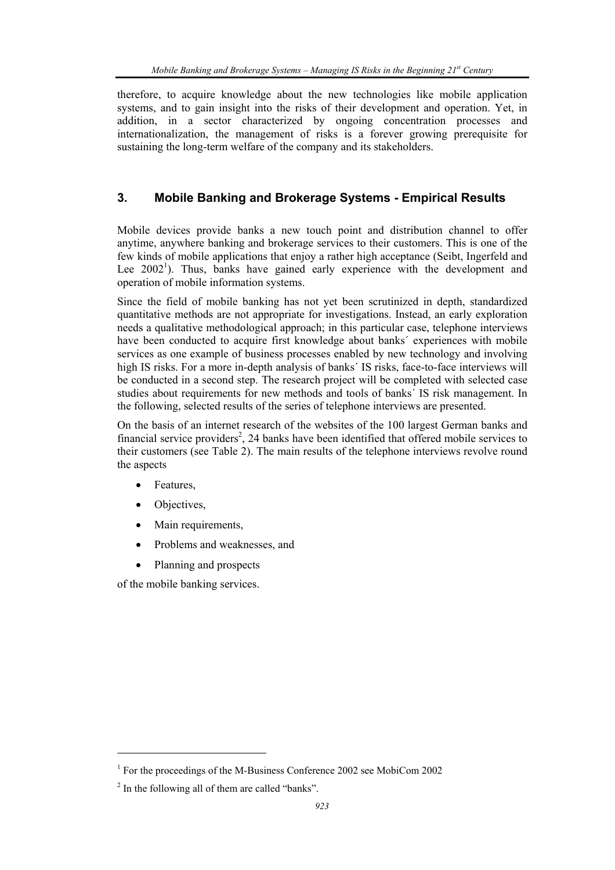therefore, to acquire knowledge about the new technologies like mobile application systems, and to gain insight into the risks of their development and operation. Yet, in addition, in a sector characterized by ongoing concentration processes and internationalization, the management of risks is a forever growing prerequisite for sustaining the long-term welfare of the company and its stakeholders.

## **3. Mobile Banking and Brokerage Systems - Empirical Results**

Mobile devices provide banks a new touch point and distribution channel to offer anytime, anywhere banking and brokerage services to their customers. This is one of the few kinds of mobile applications that enjoy a rather high acceptance (Seibt, Ingerfeld and Lee  $2002^1$ ). Thus, banks have gained early experience with the development and operation of mobile information systems.

Since the field of mobile banking has not yet been scrutinized in depth, standardized quantitative methods are not appropriate for investigations. Instead, an early exploration needs a qualitative methodological approach; in this particular case, telephone interviews have been conducted to acquire first knowledge about banks´ experiences with mobile services as one example of business processes enabled by new technology and involving high IS risks. For a more in-depth analysis of banks' IS risks, face-to-face interviews will be conducted in a second step. The research project will be completed with selected case studies about requirements for new methods and tools of banks´ IS risk management. In the following, selected results of the series of telephone interviews are presented.

On the basis of an internet research of the websites of the 100 largest German banks and financial service providers<sup>2</sup>, 24 banks have been identified that offered mobile services to their customers (see Table 2). The main results of the telephone interviews revolve round the aspects

**Features** 

l

- Objectives.
- Main requirements,
- Problems and weaknesses, and
- Planning and prospects

of the mobile banking services.

<sup>&</sup>lt;sup>1</sup> For the proceedings of the M-Business Conference 2002 see MobiCom 2002

<sup>&</sup>lt;sup>2</sup> In the following all of them are called "banks".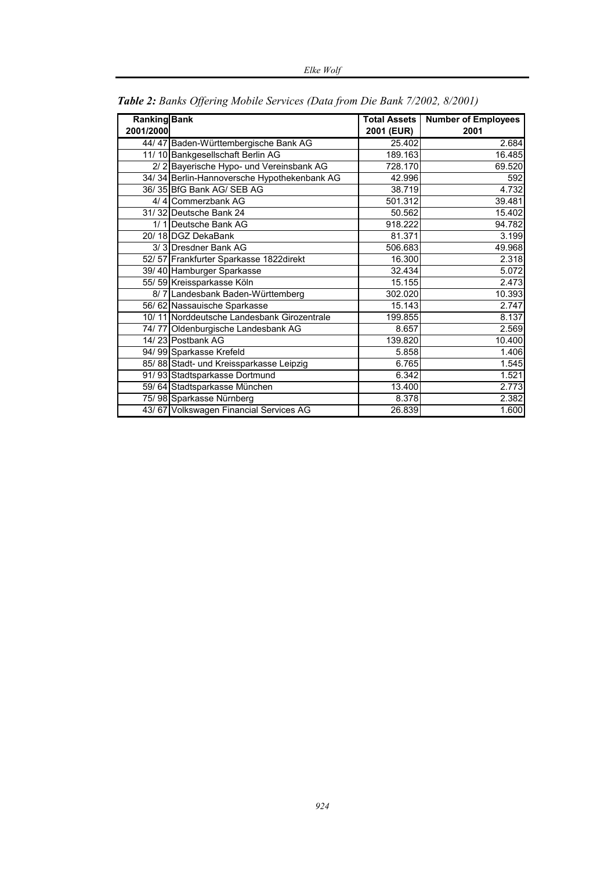| <b>Ranking Bank</b> |                                             | Total Assets | <b>Number of Employees</b> |
|---------------------|---------------------------------------------|--------------|----------------------------|
| 2001/2000           |                                             | 2001 (EUR)   | 2001                       |
|                     | 44/47 Baden-Württembergische Bank AG        | 25.402       | 2.684                      |
|                     | 11/10 Bankgesellschaft Berlin AG            | 189.163      | 16.485                     |
|                     | 2/2 Bayerische Hypo- und Vereinsbank AG     | 728.170      | 69.520                     |
|                     | 34/34 Berlin-Hannoversche Hypothekenbank AG | 42.996       | 592                        |
|                     | 36/35 BfG Bank AG/SEB AG                    | 38.719       | 4.732                      |
|                     | 4/4 Commerzbank AG                          | 501.312      | 39.481                     |
|                     | 31/32 Deutsche Bank 24                      | 50.562       | 15.402                     |
|                     | 1/1 Deutsche Bank AG                        | 918.222      | 94.782                     |
|                     | 20/18 DGZ DekaBank                          | 81.371       | 3.199                      |
|                     | 3/3 Dresdner Bank AG                        | 506.683      | 49.968                     |
|                     | 52/57 Frankfurter Sparkasse 1822direkt      | 16.300       | 2.318                      |
|                     | 39/40 Hamburger Sparkasse                   | 32.434       | 5.072                      |
|                     | 55/59 Kreissparkasse Köln                   | 15.155       | 2.473                      |
|                     | 8/7 Landesbank Baden-Württemberg            | 302.020      | 10.393                     |
|                     | 56/62 Nassauische Sparkasse                 | 15.143       | 2.747                      |
|                     | 10/11 Norddeutsche Landesbank Girozentrale  | 199.855      | 8.137                      |
|                     | 74/77 Oldenburgische Landesbank AG          | 8.657        | 2.569                      |
|                     | 14/23 Postbank AG                           | 139.820      | 10.400                     |
|                     | 94/99 Sparkasse Krefeld                     | 5.858        | 1.406                      |
|                     | 85/88 Stadt- und Kreissparkasse Leipzig     | 6.765        | 1.545                      |
|                     | 91/93 Stadtsparkasse Dortmund               | 6.342        | 1.521                      |
|                     | 59/64 Stadtsparkasse München                | 13.400       | 2.773                      |
|                     | 75/98 Sparkasse Nürnberg                    | 8.378        | 2.382                      |
|                     | 43/67 Volkswagen Financial Services AG      | 26.839       | 1.600                      |

*Table 2: Banks Offering Mobile Services (Data from Die Bank 7/2002, 8/2001)*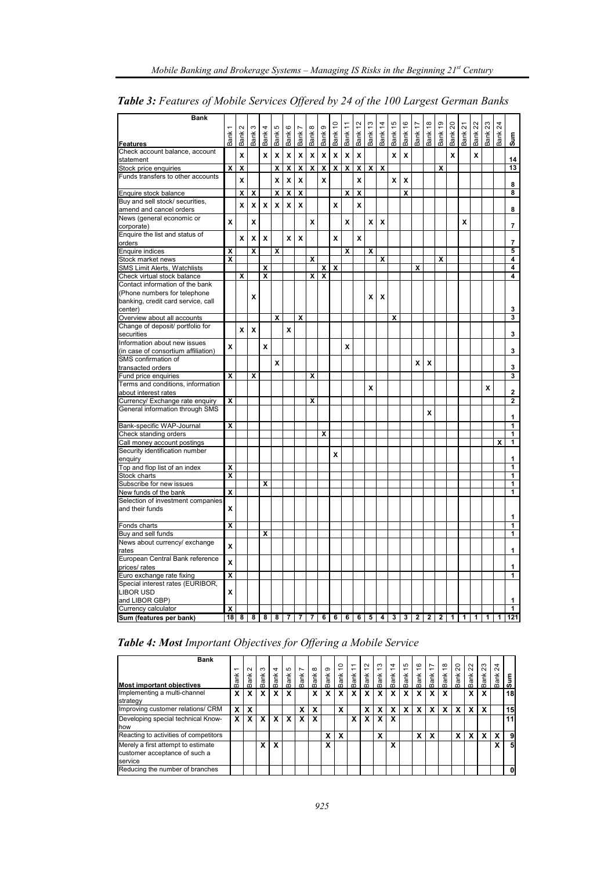| Bank                                |                         |                         |                         |                         |                         |                  |      |              |                           |                         |                |                |                 |                         |                         |                         |                |                |                         |             |        |                  |      |      |                |
|-------------------------------------|-------------------------|-------------------------|-------------------------|-------------------------|-------------------------|------------------|------|--------------|---------------------------|-------------------------|----------------|----------------|-----------------|-------------------------|-------------------------|-------------------------|----------------|----------------|-------------------------|-------------|--------|------------------|------|------|----------------|
|                                     |                         | $\sim$                  | S                       | 4                       | 5                       | $\mathbf{\circ}$ | Z    | $\infty$     | ၜ                         | $\tilde{a}$             | Ξ              | 57             | م.<br>ب         | $\dot{4}$               | 15                      | $\frac{6}{2}$           | 17             | $\frac{8}{1}$  | ę,                      | ຊ           | ank 21 | $\boldsymbol{z}$ | ಔ    | 24   |                |
|                                     | ank                     | <b>Bank</b>             | <b>Bank</b>             | Bank                    | <b>Sank</b>             | <b>Bank</b>      | 3ank | <b>Bank</b>  | Bank                      | ānk                     | <b>Sank</b>    | ă              | ank             | <b>Sank</b>             | Bank                    | 3ank                    | 3ank           | ă              | ă                       | <b>Bank</b> |        | Bank             | 3ank | 3ank | Sum            |
| <b>Features</b>                     |                         |                         |                         |                         |                         |                  |      |              |                           |                         |                |                |                 |                         |                         |                         |                |                |                         |             |        |                  |      |      |                |
| Check account balance, account      |                         | X                       |                         | $\mathbf{x}$            | x                       | X                | X    | $\mathsf{x}$ | $\boldsymbol{\mathsf{x}}$ | X                       | X              | X              |                 |                         | X                       | X                       |                |                |                         | X           |        | X                |      |      |                |
| statement                           |                         |                         |                         |                         |                         |                  |      |              |                           |                         |                |                |                 |                         |                         |                         |                |                |                         |             |        |                  |      |      | 14             |
| Stock price enquiries               | X                       | X                       |                         |                         | X                       | X                | X    | X            | X                         | X                       | X              | Χ              | X               | X                       |                         |                         |                |                | X                       |             |        |                  |      |      | 13             |
| Funds transfers to other accounts   |                         | X                       |                         |                         | X                       | χ                | X    |              | X                         |                         |                | X              |                 |                         | X                       | X                       |                |                |                         |             |        |                  |      |      |                |
|                                     |                         |                         |                         |                         |                         |                  |      |              |                           |                         |                |                |                 |                         |                         |                         |                |                |                         |             |        |                  |      |      | 8              |
| Enquire stock balance               |                         | X                       | X                       |                         | x                       | x                | x    |              |                           |                         | $\mathsf{x}$   | X              |                 |                         |                         | X                       |                |                |                         |             |        |                  |      |      | 8              |
| Buy and sell stock/ securities,     |                         | X                       | X                       | X                       | x                       | X                | X    |              |                           | X                       |                | X              |                 |                         |                         |                         |                |                |                         |             |        |                  |      |      |                |
| amend and cancel orders             |                         |                         |                         |                         |                         |                  |      |              |                           |                         |                |                |                 |                         |                         |                         |                |                |                         |             |        |                  |      |      | 8              |
| News (general economic or           | X                       |                         | X                       |                         |                         |                  |      | x            |                           |                         | X              |                | x               | X                       |                         |                         |                |                |                         |             | X      |                  |      |      |                |
| corporate)                          |                         |                         |                         |                         |                         |                  |      |              |                           |                         |                |                |                 |                         |                         |                         |                |                |                         |             |        |                  |      |      | $\overline{7}$ |
| Enquire the list and status of      |                         | X                       | X                       | X                       |                         | x                | X    |              |                           | X                       |                | X              |                 |                         |                         |                         |                |                |                         |             |        |                  |      |      |                |
| orders                              |                         |                         |                         |                         |                         |                  |      |              |                           |                         |                |                |                 |                         |                         |                         |                |                |                         |             |        |                  |      |      | $\overline{7}$ |
| Enquire indices                     | x                       |                         | X                       |                         | X                       |                  |      |              |                           |                         | X              |                | X               |                         |                         |                         |                |                |                         |             |        |                  |      |      | 5              |
| Stock market news                   | X                       |                         |                         |                         |                         |                  |      | X            |                           |                         |                |                |                 | X                       |                         |                         |                |                | X                       |             |        |                  |      |      | 4              |
| <b>SMS Limit Alerts, Watchlists</b> |                         |                         |                         | x                       |                         |                  |      |              | x                         | $\overline{\mathbf{x}}$ |                |                |                 |                         |                         |                         | x              |                |                         |             |        |                  |      |      | 4              |
| Check virtual stock balance         |                         | $\overline{\mathbf{x}}$ |                         | X                       |                         |                  |      | X            | X                         |                         |                |                |                 |                         |                         |                         |                |                |                         |             |        |                  |      |      | 4              |
| Contact information of the bank     |                         |                         |                         |                         |                         |                  |      |              |                           |                         |                |                |                 |                         |                         |                         |                |                |                         |             |        |                  |      |      |                |
| (Phone numbers for telephone        |                         |                         | X                       |                         |                         |                  |      |              |                           |                         |                |                | x               | x                       |                         |                         |                |                |                         |             |        |                  |      |      |                |
| banking, credit card service, call  |                         |                         |                         |                         |                         |                  |      |              |                           |                         |                |                |                 |                         |                         |                         |                |                |                         |             |        |                  |      |      |                |
| center)                             |                         |                         |                         |                         |                         |                  |      |              |                           |                         |                |                |                 |                         |                         |                         |                |                |                         |             |        |                  |      |      | 3              |
| Overview about all accounts         |                         |                         |                         |                         | X                       |                  | x    |              |                           |                         |                |                |                 |                         | X                       |                         |                |                |                         |             |        |                  |      |      | 3              |
| Change of deposit/ portfolio for    |                         | X                       | X                       |                         |                         | X                |      |              |                           |                         |                |                |                 |                         |                         |                         |                |                |                         |             |        |                  |      |      |                |
| securities                          |                         |                         |                         |                         |                         |                  |      |              |                           |                         |                |                |                 |                         |                         |                         |                |                |                         |             |        |                  |      |      | 3              |
| Information about new issues        | X                       |                         |                         | X                       |                         |                  |      |              |                           |                         | x              |                |                 |                         |                         |                         |                |                |                         |             |        |                  |      |      |                |
| (in case of consortium affiliation) |                         |                         |                         |                         |                         |                  |      |              |                           |                         |                |                |                 |                         |                         |                         |                |                |                         |             |        |                  |      |      | 3              |
| SMS confirmation of                 |                         |                         |                         |                         | X                       |                  |      |              |                           |                         |                |                |                 |                         |                         |                         | x              | X              |                         |             |        |                  |      |      |                |
| transacted orders                   |                         |                         |                         |                         |                         |                  |      |              |                           |                         |                |                |                 |                         |                         |                         |                |                |                         |             |        |                  |      |      | 3              |
| Fund price enquiries                | $\overline{\mathbf{x}}$ |                         | X                       |                         |                         |                  |      | x            |                           |                         |                |                |                 |                         |                         |                         |                |                |                         |             |        |                  |      |      | 3              |
| Terms and conditions, information   |                         |                         |                         |                         |                         |                  |      |              |                           |                         |                |                | x               |                         |                         |                         |                |                |                         |             |        |                  | x    |      |                |
| about interest rates                |                         |                         |                         |                         |                         |                  |      |              |                           |                         |                |                |                 |                         |                         |                         |                |                |                         |             |        |                  |      |      | $\overline{2}$ |
| Currency/ Exchange rate enquiry     | x                       |                         |                         |                         |                         |                  |      | x            |                           |                         |                |                |                 |                         |                         |                         |                |                |                         |             |        |                  |      |      | $\overline{2}$ |
| General information through SMS     |                         |                         |                         |                         |                         |                  |      |              |                           |                         |                |                |                 |                         |                         |                         |                | X              |                         |             |        |                  |      |      |                |
|                                     |                         |                         |                         |                         |                         |                  |      |              |                           |                         |                |                |                 |                         |                         |                         |                |                |                         |             |        |                  |      |      | 1              |
| Bank-specific WAP-Journal           | $\overline{\mathbf{x}}$ |                         |                         |                         |                         |                  |      |              |                           |                         |                |                |                 |                         |                         |                         |                |                |                         |             |        |                  |      |      | 1              |
| Check standing orders               |                         |                         |                         |                         |                         |                  |      |              | X                         |                         |                |                |                 |                         |                         |                         |                |                |                         |             |        |                  |      |      | 1              |
| Call money account postings         |                         |                         |                         |                         |                         |                  |      |              |                           |                         |                |                |                 |                         |                         |                         |                |                |                         |             |        |                  |      | x    | 1              |
| Security identification number      |                         |                         |                         |                         |                         |                  |      |              |                           | X                       |                |                |                 |                         |                         |                         |                |                |                         |             |        |                  |      |      |                |
| enguiry                             |                         |                         |                         |                         |                         |                  |      |              |                           |                         |                |                |                 |                         |                         |                         |                |                |                         |             |        |                  |      |      | 1              |
| Top and flop list of an index       | $\overline{\mathbf{x}}$ |                         |                         |                         |                         |                  |      |              |                           |                         |                |                |                 |                         |                         |                         |                |                |                         |             |        |                  |      |      | $\overline{1}$ |
| Stock charts                        | $\overline{\mathbf{x}}$ |                         |                         |                         |                         |                  |      |              |                           |                         |                |                |                 |                         |                         |                         |                |                |                         |             |        |                  |      |      | 1              |
| Subscribe for new issues            |                         |                         |                         | $\overline{\mathbf{x}}$ |                         |                  |      |              |                           |                         |                |                |                 |                         |                         |                         |                |                |                         |             |        |                  |      |      | 1              |
| New funds of the bank               | x                       |                         |                         |                         |                         |                  |      |              |                           |                         |                |                |                 |                         |                         |                         |                |                |                         |             |        |                  |      |      | 1              |
| Selection of investment companies   |                         |                         |                         |                         |                         |                  |      |              |                           |                         |                |                |                 |                         |                         |                         |                |                |                         |             |        |                  |      |      |                |
| and their funds                     | x                       |                         |                         |                         |                         |                  |      |              |                           |                         |                |                |                 |                         |                         |                         |                |                |                         |             |        |                  |      |      |                |
|                                     |                         |                         |                         |                         |                         |                  |      |              |                           |                         |                |                |                 |                         |                         |                         |                |                |                         |             |        |                  |      |      | 1              |
| Fonds charts                        | x                       |                         |                         |                         |                         |                  |      |              |                           |                         |                |                |                 |                         |                         |                         |                |                |                         |             |        |                  |      |      | 1              |
| Buy and sell funds                  |                         |                         |                         | x                       |                         |                  |      |              |                           |                         |                |                |                 |                         |                         |                         |                |                |                         |             |        |                  |      |      | 1              |
| News about currency/ exchange       | X                       |                         |                         |                         |                         |                  |      |              |                           |                         |                |                |                 |                         |                         |                         |                |                |                         |             |        |                  |      |      |                |
| rates                               |                         |                         |                         |                         |                         |                  |      |              |                           |                         |                |                |                 |                         |                         |                         |                |                |                         |             |        |                  |      |      | 1              |
| European Central Bank reference     | X                       |                         |                         |                         |                         |                  |      |              |                           |                         |                |                |                 |                         |                         |                         |                |                |                         |             |        |                  |      |      |                |
| prices/ rates                       |                         |                         |                         |                         |                         |                  |      |              |                           |                         |                |                |                 |                         |                         |                         |                |                |                         |             |        |                  |      |      | 1              |
| Euro exchange rate fixing           | x                       |                         |                         |                         |                         |                  |      |              |                           |                         |                |                |                 |                         |                         |                         |                |                |                         |             |        |                  |      |      | 1              |
| Special interest rates (EURIBOR,    |                         |                         |                         |                         |                         |                  |      |              |                           |                         |                |                |                 |                         |                         |                         |                |                |                         |             |        |                  |      |      |                |
| <b>LIBOR USD</b>                    | x                       |                         |                         |                         |                         |                  |      |              |                           |                         |                |                |                 |                         |                         |                         |                |                |                         |             |        |                  |      |      |                |
| and LIBOR GBP)                      |                         |                         |                         |                         |                         |                  |      |              |                           |                         |                |                |                 |                         |                         |                         |                |                |                         |             |        |                  |      |      | 1              |
| Currency calculator                 | X                       |                         |                         |                         |                         |                  |      |              |                           |                         |                |                |                 |                         |                         |                         |                |                |                         |             |        |                  |      |      | 1              |
| Sum (features per bank)             | 18                      | $\overline{\mathbf{8}}$ | $\overline{\mathbf{8}}$ | $\overline{\mathbf{8}}$ | $\overline{\mathbf{8}}$ | 7                | 7    | 7            | $\overline{6}$            | $\overline{6}$          | $\overline{6}$ | $\overline{6}$ | $5\overline{)}$ | $\overline{\mathbf{4}}$ | $\overline{\mathbf{3}}$ | $\overline{\mathbf{3}}$ | $\overline{2}$ | $\overline{2}$ | $\overline{\mathbf{2}}$ | 1           | 1      | 1                | 1    | 1    | 121            |

*Table 3: Features of Mobile Services Offered by 24 of the 100 Largest German Banks* 

| Table 4: Most Important Objectives for Offering a Mobile Service |  |  |
|------------------------------------------------------------------|--|--|
|------------------------------------------------------------------|--|--|

| <b>Bank</b><br><b>Most important objectives</b>                                | $\overline{ }$<br>쏟<br>त्व<br>m | $\sim$<br>ă | ო<br><b>Bank</b> | 4<br>ă<br>m | 5<br>Bank | $\overline{ }$<br>ank<br>m | $\infty$<br>$\frac{1}{2}$ | $\sigma$<br>$\frac{d}{dt}$<br>m | ە;<br><b>Bank</b> | $\overline{a}$<br>ă<br>m | $\sim$<br>$\overline{ }$<br>3ank | ొ<br>Ban k | 4<br>$\div$<br>$3a$ nk | $\frac{1}{2}$<br>ank<br>m | $\frac{6}{5}$<br>$\frac{1}{\pi}$ | 17<br>ank<br>m | $\frac{8}{1}$<br>Bank | 20<br><b>Bank</b> | $^{22}$<br><b>Bank</b> | ಔ<br><b>Bank</b> | 24<br>Bank | Sum |
|--------------------------------------------------------------------------------|---------------------------------|-------------|------------------|-------------|-----------|----------------------------|---------------------------|---------------------------------|-------------------|--------------------------|----------------------------------|------------|------------------------|---------------------------|----------------------------------|----------------|-----------------------|-------------------|------------------------|------------------|------------|-----|
| Implementing a multi-channel<br>strategy                                       | X                               | x           | x                | x           | X         |                            | X                         | X                               | x                 | X                        |                                  | x          | Y                      | x                         | X                                | x              | x                     |                   | x                      | x                |            | 18  |
| Improving customer relations/ CRM                                              | X                               | x           |                  |             |           | x                          | X                         |                                 | x                 |                          | x                                | x          | x                      | X                         | X                                | x              | X                     | x                 | x                      | x                |            | 15  |
| Developing special technical Know-<br>how                                      | X                               | x           | x                | x           | x         | X                          | X                         |                                 |                   | x                        | x                                | x          | X                      |                           |                                  |                |                       |                   |                        |                  |            | 11  |
| Reacting to activities of competitors                                          |                                 |             |                  |             |           |                            |                           | x                               | x                 |                          |                                  | x          |                        |                           | X                                | x              |                       | x                 | X                      | x                | x          | 9   |
| Merely a first attempt to estimate<br>customer acceptance of such a<br>service |                                 |             | x                | X           |           |                            |                           | X                               |                   |                          |                                  |            | x                      |                           |                                  |                |                       |                   |                        |                  | x          | 5   |
| Reducing the number of branches                                                |                                 |             |                  |             |           |                            |                           |                                 |                   |                          |                                  |            |                        |                           |                                  |                |                       |                   |                        |                  |            | 0   |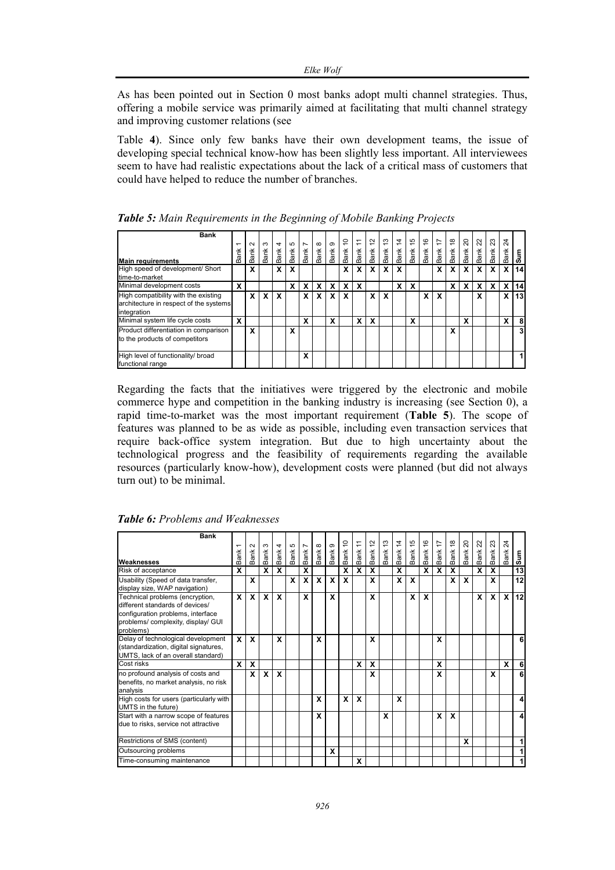As has been pointed out in Section 0 most banks adopt multi channel strategies. Thus, offering a mobile service was primarily aimed at facilitating that multi channel strategy and improving customer relations (see

Table **4**). Since only few banks have their own development teams, the issue of developing special technical know-how has been slightly less important. All interviewees seem to have had realistic expectations about the lack of a critical mass of customers that could have helped to reduce the number of branches.

| <b>Bank</b><br><b>Main requirements</b>                                                       | $\overline{ }$<br>Bank | $\sim$<br>ank<br>m | S<br>Bank | $\overline{4}$<br>Bank | 5<br>Bank | $\overline{ }$<br>Bank | $\infty$<br>Bank | ၜ<br>Bank ! | 5<br>Bank | $\tilde{=}$<br>Bank | $\tilde{c}$<br>ank<br>m | చ<br>Bank | 4<br>Bank | 15<br>Bank | $\frac{6}{5}$<br>Bank | $\overline{1}$<br>ă<br>œ | $\frac{8}{5}$<br>Bank | 20<br>Bank | ଅ<br>Bank | ಔ<br>ank<br>m | Z4<br>ă<br>m | Sum |
|-----------------------------------------------------------------------------------------------|------------------------|--------------------|-----------|------------------------|-----------|------------------------|------------------|-------------|-----------|---------------------|-------------------------|-----------|-----------|------------|-----------------------|--------------------------|-----------------------|------------|-----------|---------------|--------------|-----|
| High speed of development/ Short<br>time-to-market                                            |                        | x                  |           | X                      | x         |                        |                  |             | x.        | x                   | X                       | x         | x         |            |                       | x                        | X                     | χ          |           | x.            | $\mathbf{x}$ | 14  |
| Minimal development costs                                                                     | X                      |                    |           |                        | X         | x                      | x                | X           | <b>X</b>  | X                   |                         |           | x         | X          |                       |                          | X                     | x          | x         | X             | x            | 14  |
| High compatibility with the existing<br>architecture in respect of the systems<br>integration |                        | x                  | X         | X                      |           | x                      | x                | X           | <b>X</b>  |                     | X                       | x         |           |            | X                     | X                        |                       |            | x         |               | x            | 13  |
| Minimal system life cycle costs                                                               | X                      |                    |           |                        |           | x                      |                  | X           |           | x                   | X                       |           |           | x          |                       |                          |                       | x          |           |               | x            | 8   |
| Product differentiation in comparison<br>to the products of competitors                       |                        | X                  |           |                        | X         |                        |                  |             |           |                     |                         |           |           |            |                       |                          | x                     |            |           |               |              | 3   |
| High level of functionality/ broad<br>functional range                                        |                        |                    |           |                        |           | x                      |                  |             |           |                     |                         |           |           |            |                       |                          |                       |            |           |               |              |     |

*Table 5: Main Requirements in the Beginning of Mobile Banking Projects* 

Regarding the facts that the initiatives were triggered by the electronic and mobile commerce hype and competition in the banking industry is increasing (see Section 0), a rapid time-to-market was the most important requirement (**Table 5**). The scope of features was planned to be as wide as possible, including even transaction services that require back-office system integration. But due to high uncertainty about the technological progress and the feasibility of requirements regarding the available resources (particularly know-how), development costs were planned (but did not always turn out) to be minimal.

|  |  | <b>Table 6: Problems and Weaknesses</b> |
|--|--|-----------------------------------------|
|--|--|-----------------------------------------|

| <b>Bank</b>                                                                                                                                               |                               |                           |           |           |           |                                     |                  |                    |                  |         |                   |                   |         |            |         |                   |         |             |             |            |            |     |
|-----------------------------------------------------------------------------------------------------------------------------------------------------------|-------------------------------|---------------------------|-----------|-----------|-----------|-------------------------------------|------------------|--------------------|------------------|---------|-------------------|-------------------|---------|------------|---------|-------------------|---------|-------------|-------------|------------|------------|-----|
| Weaknesses                                                                                                                                                | $\overline{ }$<br><b>Bank</b> | $\sim$<br>ă<br>ő          | ო<br>Bank | 4<br>Bank | 5<br>Bank | $\overline{ }$<br>Bank <sup>-</sup> | $\infty$<br>Bank | $\sigma$<br>Bank ! | 5<br><b>Bank</b> | Bank 11 | 57<br><b>Bank</b> | 13<br><b>Bank</b> | Bank 14 | 15<br>Bank | Bank 16 | 17<br><b>Bank</b> | Bank 18 | 20<br>Bank: | ಜ<br>Bank 2 | 23<br>Bank | ¥.<br>Bank | Sum |
| Risk of acceptance                                                                                                                                        | X                             |                           | X         | X         |           | X                                   |                  |                    | X                | X       | X                 |                   | X       |            | X       | X                 | X       |             | X           | X          |            | 13  |
| Usability (Speed of data transfer,<br>display size, WAP navigation)                                                                                       |                               | X                         |           |           | X         | X                                   | <b>X</b>         | X                  | X                |         | X                 |                   | x       | X          |         |                   | X       | X           |             | X          |            | 12  |
| Technical problems (encryption,<br>different standards of devices/<br>configuration problems, interface<br>problems/complexity, display/ GUI<br>problems) | X                             | $\boldsymbol{\mathsf{x}}$ | X         | X         |           | X                                   |                  | X                  |                  |         | X                 |                   |         | x          | X       |                   |         |             | X           | X          | X          | 12  |
| Delay of technological development<br>(standardization, digital signatures,<br>UMTS, lack of an overall standard)                                         | $\mathbf{x}$                  | $\mathbf x$               |           | X         |           |                                     | X                |                    |                  |         | X                 |                   |         |            |         | X                 |         |             |             |            |            | 6   |
| Cost risks                                                                                                                                                | X                             | X                         |           |           |           |                                     |                  |                    |                  | X       | X                 |                   |         |            |         | x                 |         |             |             |            | x          | 6   |
| no profound analysis of costs and<br>benefits, no market analysis, no risk<br>analysis                                                                    |                               | $\mathbf{x}$              | X         | X         |           |                                     |                  |                    |                  |         | X                 |                   |         |            |         | x                 |         |             |             | X          |            | 6   |
| High costs for users (particularly with<br>UMTS in the future)                                                                                            |                               |                           |           |           |           |                                     | X                |                    | X                | X       |                   |                   | X       |            |         |                   |         |             |             |            |            |     |
| Start with a narrow scope of features<br>due to risks, service not attractive                                                                             |                               |                           |           |           |           |                                     | x                |                    |                  |         |                   | x                 |         |            |         | X                 | X       |             |             |            |            | 4   |
| Restrictions of SMS (content)                                                                                                                             |                               |                           |           |           |           |                                     |                  |                    |                  |         |                   |                   |         |            |         |                   |         | x           |             |            |            |     |
| Outsourcing problems                                                                                                                                      |                               |                           |           |           |           |                                     |                  | x                  |                  |         |                   |                   |         |            |         |                   |         |             |             |            |            |     |
| Time-consuming maintenance                                                                                                                                |                               |                           |           |           |           |                                     |                  |                    |                  | X       |                   |                   |         |            |         |                   |         |             |             |            |            |     |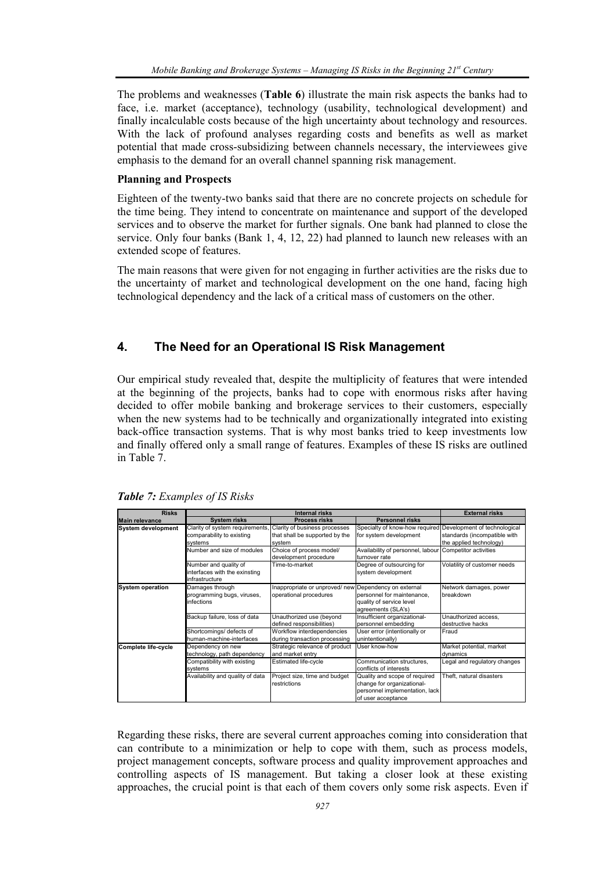The problems and weaknesses (**Table 6**) illustrate the main risk aspects the banks had to face, i.e. market (acceptance), technology (usability, technological development) and finally incalculable costs because of the high uncertainty about technology and resources. With the lack of profound analyses regarding costs and benefits as well as market potential that made cross-subsidizing between channels necessary, the interviewees give emphasis to the demand for an overall channel spanning risk management.

#### **Planning and Prospects**

Eighteen of the twenty-two banks said that there are no concrete projects on schedule for the time being. They intend to concentrate on maintenance and support of the developed services and to observe the market for further signals. One bank had planned to close the service. Only four banks (Bank 1, 4, 12, 22) had planned to launch new releases with an extended scope of features.

The main reasons that were given for not engaging in further activities are the risks due to the uncertainty of market and technological development on the one hand, facing high technological dependency and the lack of a critical mass of customers on the other.

## **4. The Need for an Operational IS Risk Management**

Our empirical study revealed that, despite the multiplicity of features that were intended at the beginning of the projects, banks had to cope with enormous risks after having decided to offer mobile banking and brokerage services to their customers, especially when the new systems had to be technically and organizationally integrated into existing back-office transaction systems. That is why most banks tried to keep investments low and finally offered only a small range of features. Examples of these IS risks are outlined in Table 7.

| <b>Risks</b>              |                                  | <b>External risks</b>                                 |                                                             |                              |
|---------------------------|----------------------------------|-------------------------------------------------------|-------------------------------------------------------------|------------------------------|
| <b>Main relevance</b>     | <b>System risks</b>              | <b>Process risks</b>                                  | <b>Personnel risks</b>                                      |                              |
| <b>System development</b> | Clarity of system requirements,  | Clarity of business processes                         | Specialty of know-how required Development of technological |                              |
|                           | comparability to existing        | that shall be supported by the                        | for system development                                      | standards (incompatible with |
|                           | systems                          | system                                                |                                                             | the applied technology)      |
|                           | Number and size of modules       | Choice of process model/                              | Availability of personnel, labour                           | Competitor activities        |
|                           |                                  | development procedure                                 | turnover rate                                               |                              |
|                           | Number and quality of            | Time-to-market                                        | Degree of outsourcing for                                   | Volatility of customer needs |
|                           | interfaces with the exinsting    |                                                       | system development                                          |                              |
|                           | infrastructure                   |                                                       |                                                             |                              |
| <b>System operation</b>   | Damages through                  | Inappropriate or unproved/ new Dependency on external |                                                             | Network damages, power       |
|                           | programming bugs, viruses,       | operational procedures                                | personnel for maintenance,                                  | breakdown                    |
|                           | infections                       |                                                       | quality of service level                                    |                              |
|                           |                                  |                                                       | agreements (SLA's)                                          |                              |
|                           | Backup failure, loss of data     | Unauthorized use (beyond                              | Insufficient organizational-                                | Unauthorized access,         |
|                           |                                  | defined responsibilities)                             | personnel embedding                                         | destructive hacks            |
|                           | Shortcomings/ defects of         | Workflow interdependencies                            | User error (intentionally or                                | Fraud                        |
|                           | human-machine-interfaces         | during transaction processing                         | unintentionally)                                            |                              |
| Complete life-cycle       | Dependency on new                | Strategic relevance of product                        | User know-how                                               | Market potential, market     |
|                           | technology, path dependency      | and market entry                                      |                                                             | dynamics                     |
|                           | Compatibility with existing      | Estimated life-cycle                                  | Communication structures,                                   | Legal and regulatory changes |
|                           | systems                          |                                                       | conflicts of interests                                      |                              |
|                           | Availability and quality of data | Project size, time and budget                         | Quality and scope of required                               | Theft, natural disasters     |
|                           |                                  | restrictions                                          | change for organizational-                                  |                              |
|                           |                                  |                                                       | personnel implementation, lack                              |                              |
|                           |                                  |                                                       | of user acceptance                                          |                              |

*Table 7: Examples of IS Risks* 

Regarding these risks, there are several current approaches coming into consideration that can contribute to a minimization or help to cope with them, such as process models, project management concepts, software process and quality improvement approaches and controlling aspects of IS management. But taking a closer look at these existing approaches, the crucial point is that each of them covers only some risk aspects. Even if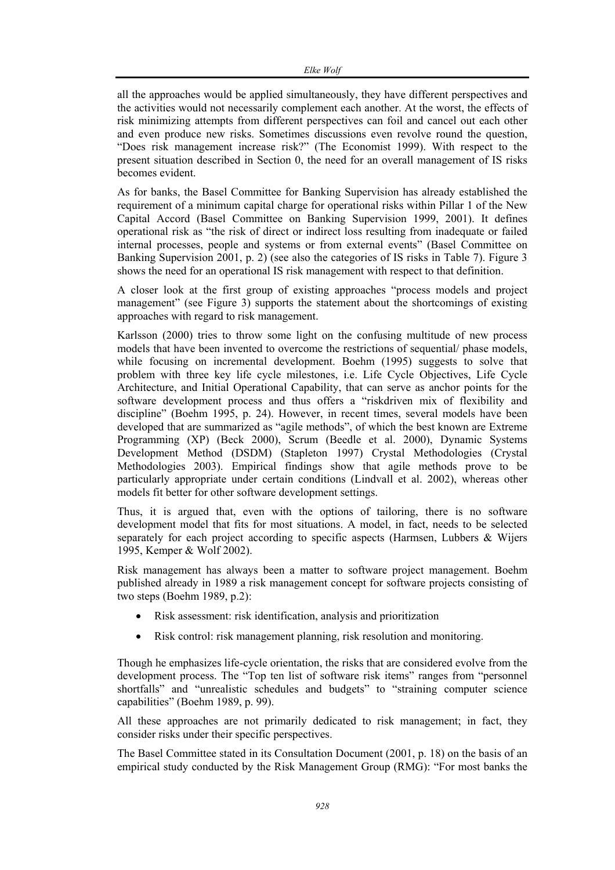all the approaches would be applied simultaneously, they have different perspectives and the activities would not necessarily complement each another. At the worst, the effects of risk minimizing attempts from different perspectives can foil and cancel out each other and even produce new risks. Sometimes discussions even revolve round the question, "Does risk management increase risk?" (The Economist 1999). With respect to the present situation described in Section 0, the need for an overall management of IS risks becomes evident.

As for banks, the Basel Committee for Banking Supervision has already established the requirement of a minimum capital charge for operational risks within Pillar 1 of the New Capital Accord (Basel Committee on Banking Supervision 1999, 2001). It defines operational risk as "the risk of direct or indirect loss resulting from inadequate or failed internal processes, people and systems or from external events" (Basel Committee on Banking Supervision 2001, p. 2) (see also the categories of IS risks in Table 7). Figure 3 shows the need for an operational IS risk management with respect to that definition.

A closer look at the first group of existing approaches "process models and project management" (see Figure 3) supports the statement about the shortcomings of existing approaches with regard to risk management.

Karlsson (2000) tries to throw some light on the confusing multitude of new process models that have been invented to overcome the restrictions of sequential/ phase models, while focusing on incremental development. Boehm (1995) suggests to solve that problem with three key life cycle milestones, i.e. Life Cycle Objectives, Life Cycle Architecture, and Initial Operational Capability, that can serve as anchor points for the software development process and thus offers a "riskdriven mix of flexibility and discipline" (Boehm 1995, p. 24). However, in recent times, several models have been developed that are summarized as "agile methods", of which the best known are Extreme Programming (XP) (Beck 2000), Scrum (Beedle et al. 2000), Dynamic Systems Development Method (DSDM) (Stapleton 1997) Crystal Methodologies (Crystal Methodologies 2003). Empirical findings show that agile methods prove to be particularly appropriate under certain conditions (Lindvall et al. 2002), whereas other models fit better for other software development settings.

Thus, it is argued that, even with the options of tailoring, there is no software development model that fits for most situations. A model, in fact, needs to be selected separately for each project according to specific aspects (Harmsen, Lubbers & Wijers 1995, Kemper & Wolf 2002).

Risk management has always been a matter to software project management. Boehm published already in 1989 a risk management concept for software projects consisting of two steps (Boehm 1989, p.2):

- Risk assessment: risk identification, analysis and prioritization
- Risk control: risk management planning, risk resolution and monitoring.

Though he emphasizes life-cycle orientation, the risks that are considered evolve from the development process. The "Top ten list of software risk items" ranges from "personnel shortfalls" and "unrealistic schedules and budgets" to "straining computer science capabilities" (Boehm 1989, p. 99).

All these approaches are not primarily dedicated to risk management; in fact, they consider risks under their specific perspectives.

The Basel Committee stated in its Consultation Document (2001, p. 18) on the basis of an empirical study conducted by the Risk Management Group (RMG): "For most banks the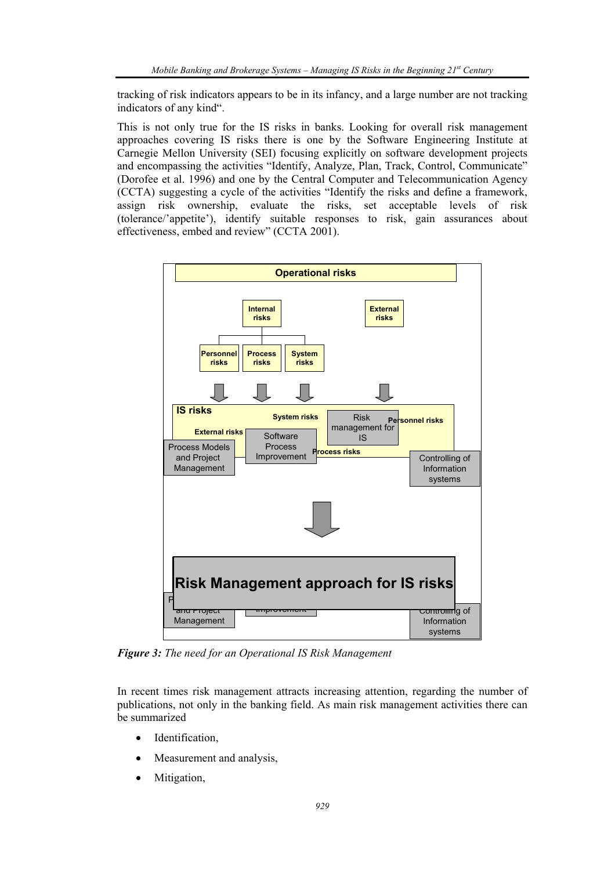tracking of risk indicators appears to be in its infancy, and a large number are not tracking indicators of any kind".

This is not only true for the IS risks in banks. Looking for overall risk management approaches covering IS risks there is one by the Software Engineering Institute at Carnegie Mellon University (SEI) focusing explicitly on software development projects and encompassing the activities "Identify, Analyze, Plan, Track, Control, Communicate" (Dorofee et al. 1996) and one by the Central Computer and Telecommunication Agency (CCTA) suggesting a cycle of the activities "Identify the risks and define a framework, assign risk ownership, evaluate the risks, set acceptable levels of risk (tolerance/'appetite'), identify suitable responses to risk, gain assurances about effectiveness, embed and review" (CCTA 2001).



*Figure 3: The need for an Operational IS Risk Management* 

In recent times risk management attracts increasing attention, regarding the number of publications, not only in the banking field. As main risk management activities there can be summarized

- Identification,
- Measurement and analysis,
- Mitigation,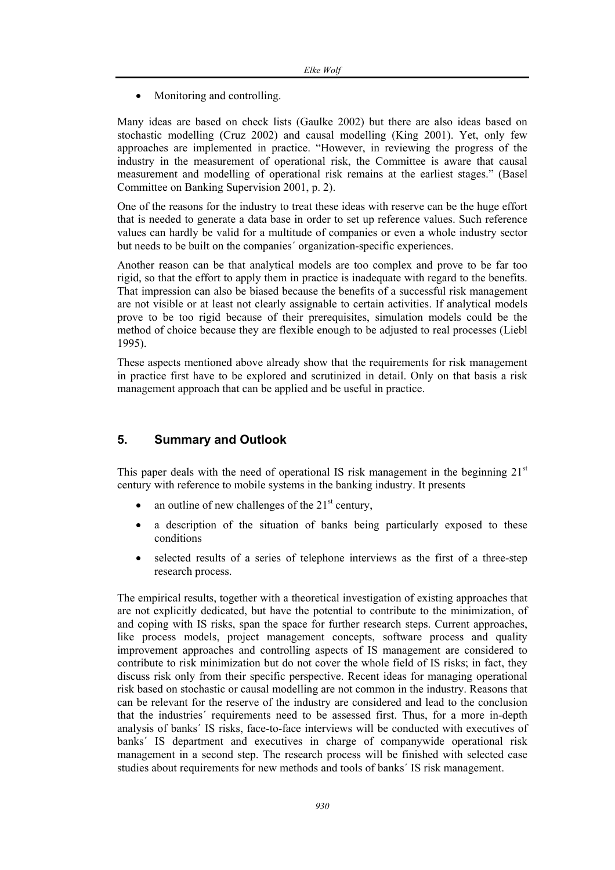• Monitoring and controlling.

Many ideas are based on check lists (Gaulke 2002) but there are also ideas based on stochastic modelling (Cruz 2002) and causal modelling (King 2001). Yet, only few approaches are implemented in practice. "However, in reviewing the progress of the industry in the measurement of operational risk, the Committee is aware that causal measurement and modelling of operational risk remains at the earliest stages." (Basel Committee on Banking Supervision 2001, p. 2).

One of the reasons for the industry to treat these ideas with reserve can be the huge effort that is needed to generate a data base in order to set up reference values. Such reference values can hardly be valid for a multitude of companies or even a whole industry sector but needs to be built on the companies´ organization-specific experiences.

Another reason can be that analytical models are too complex and prove to be far too rigid, so that the effort to apply them in practice is inadequate with regard to the benefits. That impression can also be biased because the benefits of a successful risk management are not visible or at least not clearly assignable to certain activities. If analytical models prove to be too rigid because of their prerequisites, simulation models could be the method of choice because they are flexible enough to be adjusted to real processes (Liebl 1995).

These aspects mentioned above already show that the requirements for risk management in practice first have to be explored and scrutinized in detail. Only on that basis a risk management approach that can be applied and be useful in practice.

## **5. Summary and Outlook**

This paper deals with the need of operational IS risk management in the beginning  $21<sup>st</sup>$ century with reference to mobile systems in the banking industry. It presents

- an outline of new challenges of the  $21<sup>st</sup>$  century,
- a description of the situation of banks being particularly exposed to these conditions
- selected results of a series of telephone interviews as the first of a three-step research process.

The empirical results, together with a theoretical investigation of existing approaches that are not explicitly dedicated, but have the potential to contribute to the minimization, of and coping with IS risks, span the space for further research steps. Current approaches, like process models, project management concepts, software process and quality improvement approaches and controlling aspects of IS management are considered to contribute to risk minimization but do not cover the whole field of IS risks; in fact, they discuss risk only from their specific perspective. Recent ideas for managing operational risk based on stochastic or causal modelling are not common in the industry. Reasons that can be relevant for the reserve of the industry are considered and lead to the conclusion that the industries´ requirements need to be assessed first. Thus, for a more in-depth analysis of banks´ IS risks, face-to-face interviews will be conducted with executives of banks´ IS department and executives in charge of companywide operational risk management in a second step. The research process will be finished with selected case studies about requirements for new methods and tools of banks´ IS risk management.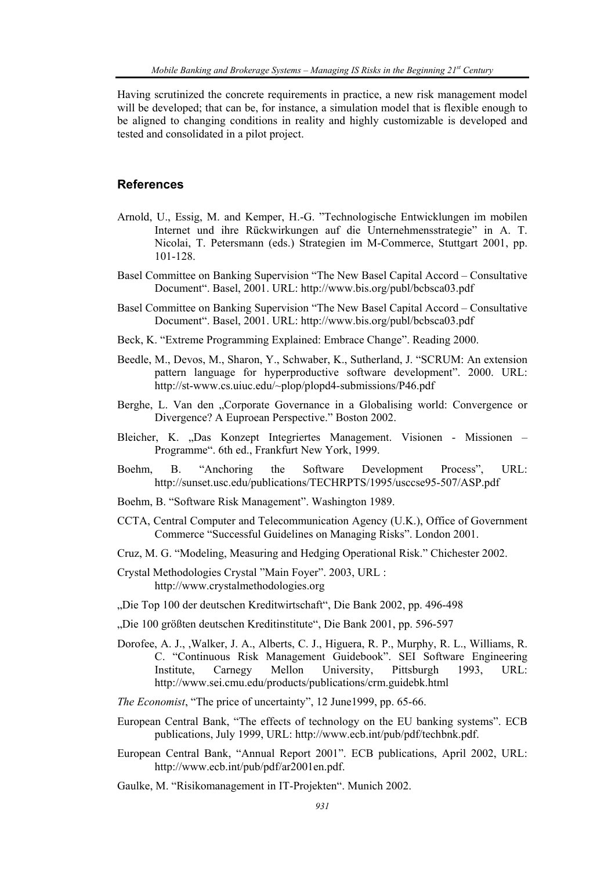Having scrutinized the concrete requirements in practice, a new risk management model will be developed; that can be, for instance, a simulation model that is flexible enough to be aligned to changing conditions in reality and highly customizable is developed and tested and consolidated in a pilot project.

#### **References**

- Arnold, U., Essig, M. and Kemper, H.-G. "Technologische Entwicklungen im mobilen Internet und ihre Rückwirkungen auf die Unternehmensstrategie" in A. T. Nicolai, T. Petersmann (eds.) Strategien im M-Commerce, Stuttgart 2001, pp. 101-128.
- Basel Committee on Banking Supervision "The New Basel Capital Accord Consultative Document". Basel, 2001. URL: http://www.bis.org/publ/bcbsca03.pdf
- Basel Committee on Banking Supervision "The New Basel Capital Accord Consultative Document". Basel, 2001. URL: http://www.bis.org/publ/bcbsca03.pdf
- Beck, K. "Extreme Programming Explained: Embrace Change". Reading 2000.
- Beedle, M., Devos, M., Sharon, Y., Schwaber, K., Sutherland, J. "SCRUM: An extension pattern language for hyperproductive software development". 2000. URL: http://st-www.cs.uiuc.edu/~plop/plopd4-submissions/P46.pdf
- Berghe, L. Van den "Corporate Governance in a Globalising world: Convergence or Divergence? A Euproean Perspective." Boston 2002.
- Bleicher, K. "Das Konzept Integriertes Management. Visionen Missionen Programme". 6th ed., Frankfurt New York, 1999.
- Boehm, B. "Anchoring the Software Development Process", URL: http://sunset.usc.edu/publications/TECHRPTS/1995/usccse95-507/ASP.pdf
- Boehm, B. "Software Risk Management". Washington 1989.
- CCTA, Central Computer and Telecommunication Agency (U.K.), Office of Government Commerce "Successful Guidelines on Managing Risks". London 2001.
- Cruz, M. G. "Modeling, Measuring and Hedging Operational Risk." Chichester 2002.
- Crystal Methodologies Crystal "Main Foyer". 2003, URL : http://www.crystalmethodologies.org
- "Die Top 100 der deutschen Kreditwirtschaft", Die Bank 2002, pp. 496-498
- "Die 100 größten deutschen Kreditinstitute", Die Bank 2001, pp. 596-597
- Dorofee, A. J., ,Walker, J. A., Alberts, C. J., Higuera, R. P., Murphy, R. L., Williams, R. C. "Continuous Risk Management Guidebook". SEI Software Engineering Institute, Carnegy Mellon University, Pittsburgh 1993, URL: http://www.sei.cmu.edu/products/publications/crm.guidebk.html
- *The Economist*, "The price of uncertainty", 12 June1999, pp. 65-66.
- European Central Bank, "The effects of technology on the EU banking systems". ECB publications, July 1999, URL: http://www.ecb.int/pub/pdf/techbnk.pdf.
- European Central Bank, "Annual Report 2001". ECB publications, April 2002, URL: http://www.ecb.int/pub/pdf/ar2001en.pdf.
- Gaulke, M. "Risikomanagement in IT-Projekten". Munich 2002.